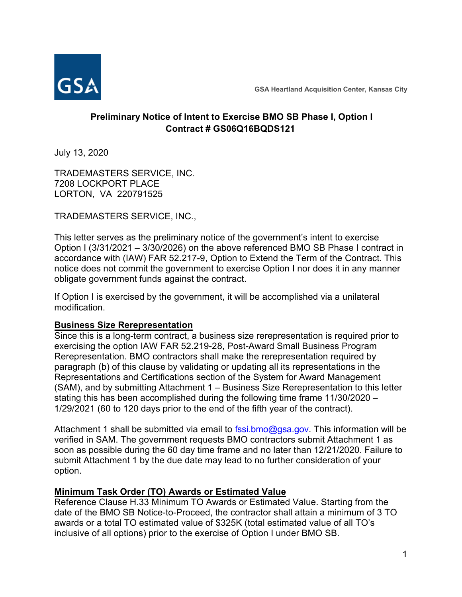

**GSA Heartland Acquisition Center, Kansas City**

# **Preliminary Notice of Intent to Exercise BMO SB Phase I, Option I Contract # GS06Q16BQDS121**

July 13, 2020

TRADEMASTERS SERVICE, INC. 7208 LOCKPORT PLACE LORTON, VA 220791525

TRADEMASTERS SERVICE, INC.,

This letter serves as the preliminary notice of the government's intent to exercise Option I (3/31/2021 – 3/30/2026) on the above referenced BMO SB Phase I contract in accordance with (IAW) FAR 52.217-9, Option to Extend the Term of the Contract. This notice does not commit the government to exercise Option I nor does it in any manner obligate government funds against the contract.

If Option I is exercised by the government, it will be accomplished via a unilateral modification.

## **Business Size Rerepresentation**

Since this is a long-term contract, a business size rerepresentation is required prior to exercising the option IAW FAR 52.219-28, Post-Award Small Business Program Rerepresentation. BMO contractors shall make the rerepresentation required by paragraph (b) of this clause by validating or updating all its representations in the Representations and Certifications section of the System for Award Management (SAM), and by submitting Attachment 1 – Business Size Rerepresentation to this letter stating this has been accomplished during the following time frame 11/30/2020 – 1/29/2021 (60 to 120 days prior to the end of the fifth year of the contract).

Attachment 1 shall be submitted via email to  $f$ ssi.bmo@gsa.gov. This information will be verified in SAM. The government requests BMO contractors submit Attachment 1 as soon as possible during the 60 day time frame and no later than 12/21/2020. Failure to submit Attachment 1 by the due date may lead to no further consideration of your option.

## **Minimum Task Order (TO) Awards or Estimated Value**

Reference Clause H.33 Minimum TO Awards or Estimated Value. Starting from the date of the BMO SB Notice-to-Proceed, the contractor shall attain a minimum of 3 TO awards or a total TO estimated value of \$325K (total estimated value of all TO's inclusive of all options) prior to the exercise of Option I under BMO SB.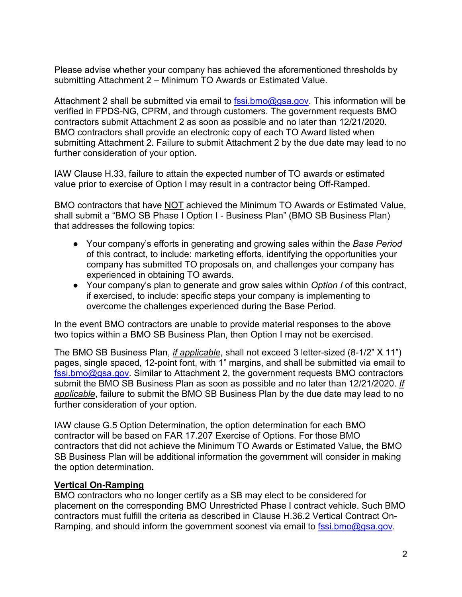Please advise whether your company has achieved the aforementioned thresholds by submitting Attachment 2 – Minimum TO Awards or Estimated Value.

Attachment 2 shall be submitted via email to  $f$ ssi.bmo@gsa.gov. This information will be verified in FPDS-NG, CPRM, and through customers. The government requests BMO contractors submit Attachment 2 as soon as possible and no later than 12/21/2020. BMO contractors shall provide an electronic copy of each TO Award listed when submitting Attachment 2. Failure to submit Attachment 2 by the due date may lead to no further consideration of your option.

IAW Clause H.33, failure to attain the expected number of TO awards or estimated value prior to exercise of Option I may result in a contractor being Off-Ramped.

BMO contractors that have NOT achieved the Minimum TO Awards or Estimated Value, shall submit a "BMO SB Phase I Option I - Business Plan" (BMO SB Business Plan) that addresses the following topics:

- Your company's efforts in generating and growing sales within the *Base Period* of this contract, to include: marketing efforts, identifying the opportunities your company has submitted TO proposals on, and challenges your company has experienced in obtaining TO awards.
- Your company's plan to generate and grow sales within *Option I* of this contract, if exercised, to include: specific steps your company is implementing to overcome the challenges experienced during the Base Period.

In the event BMO contractors are unable to provide material responses to the above two topics within a BMO SB Business Plan, then Option I may not be exercised.

The BMO SB Business Plan, *if applicable*, shall not exceed 3 letter-sized (8-1/2" X 11") pages, single spaced, 12-point font, with 1" margins, and shall be submitted via email to [fssi.bmo@gsa.gov.](mailto:fssi.bmo@gsa.gov) Similar to Attachment 2, the government requests BMO contractors submit the BMO SB Business Plan as soon as possible and no later than 12/21/2020. *If applicable*, failure to submit the BMO SB Business Plan by the due date may lead to no further consideration of your option.

IAW clause G.5 Option Determination, the option determination for each BMO contractor will be based on FAR 17.207 Exercise of Options. For those BMO contractors that did not achieve the Minimum TO Awards or Estimated Value, the BMO SB Business Plan will be additional information the government will consider in making the option determination.

## **Vertical On-Ramping**

BMO contractors who no longer certify as a SB may elect to be considered for placement on the corresponding BMO Unrestricted Phase I contract vehicle. Such BMO contractors must fulfill the criteria as described in Clause H.36.2 Vertical Contract OnRamping, and should inform the government soonest via email to [fssi.bmo@gsa.gov.](mailto:fssi.bmo@gsa.gov)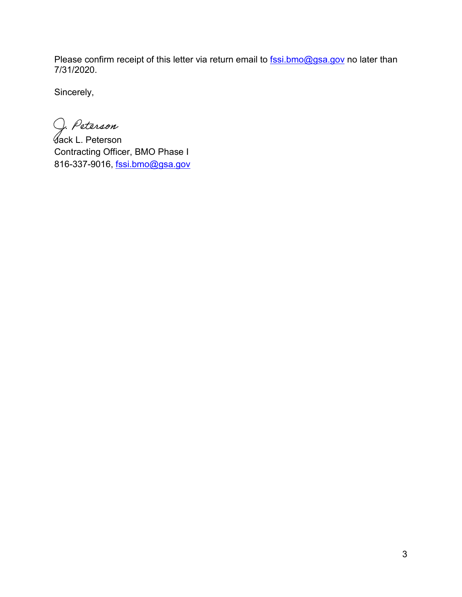Please confirm receipt of this letter via return email to [fssi.bmo@gsa.gov](mailto:fssi.bmo@gsa.gov) no later than 7/31/2020.

Sincerely,

J. Peterson

Jack L. Peterson Contracting Officer, BMO Phase I 816-337-9016, [fssi.bmo@gsa.gov](mailto:fssi.bmo@gsa.gov)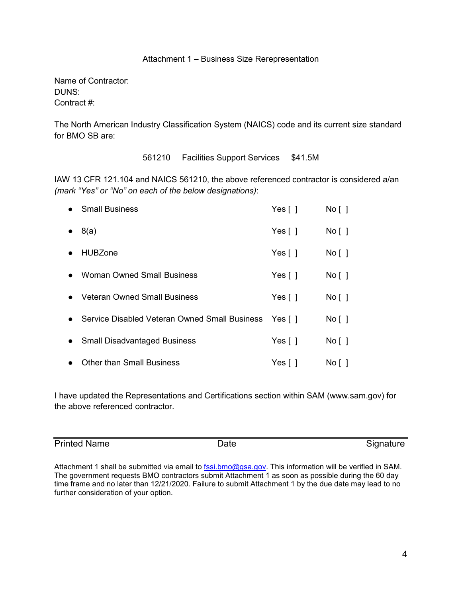#### Attachment 1 – Business Size Rerepresentation

Name of Contractor: DUNS: Contract #:

The North American Industry Classification System (NAICS) code and its current size standard for BMO SB are:

561210 Facilities Support Services \$41.5M

IAW 13 CFR 121.104 and NAICS 561210, the above referenced contractor is considered a/an *(mark "Yes" or "No" on each of the below designations)*:

|           | <b>Small Business</b>                                | Yes $\lceil \; \rceil$    | No [ ] |
|-----------|------------------------------------------------------|---------------------------|--------|
|           | 8(a)                                                 | Yes $\lceil \; \rceil$    | No [ ] |
|           | <b>HUBZone</b>                                       | Yes $[ ]$                 | No [ ] |
|           | <b>Woman Owned Small Business</b>                    | Yes $\lceil \ \rceil$     | No [ ] |
|           | <b>Veteran Owned Small Business</b>                  | Yes $\lceil \cdot \rceil$ | No [ ] |
|           | Service Disabled Veteran Owned Small Business Yes [] |                           | No [ ] |
| $\bullet$ | <b>Small Disadvantaged Business</b>                  | Yes $\lceil \ \rceil$     | No [ ] |
|           | <b>Other than Small Business</b>                     | Yes $\lceil \; \rceil$    | No [ ] |

I have updated the Representations and Certifications section within SAM (www.sam.gov) for the above referenced contractor.

Printed Name **Date Date** Signature Signature

Attachment 1 shall be submitted via email to **fssi.bmo@gsa.gov**. This information will be verified in SAM. The government requests BMO contractors submit Attachment 1 as soon as possible during the 60 day time frame and no later than 12/21/2020. Failure to submit Attachment 1 by the due date may lead to no further consideration of your option.